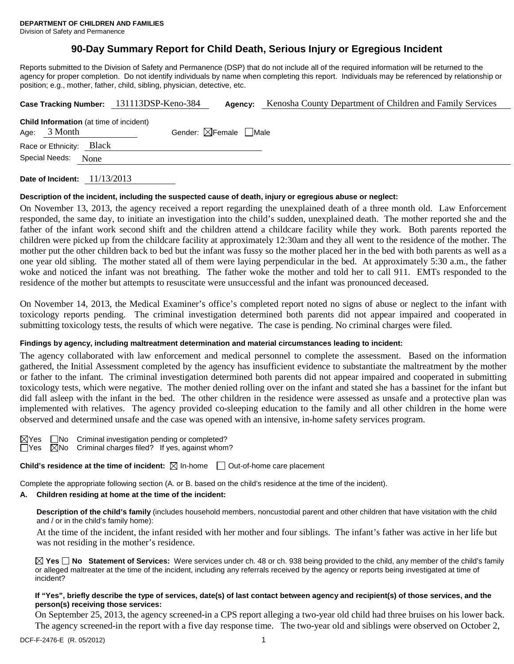Division of Safety and Permanence

# **90-Day Summary Report for Child Death, Serious Injury or Egregious Incident**

Reports submitted to the Division of Safety and Permanence (DSP) that do not include all of the required information will be returned to the agency for proper completion. Do not identify individuals by name when completing this report. Individuals may be referenced by relationship or position; e.g., mother, father, child, sibling, physician, detective, etc.

|                                                                  | Case Tracking Number: 131113DSP-Keno-384 | Agency: | Kenosha County Department of Children and Family Services |
|------------------------------------------------------------------|------------------------------------------|---------|-----------------------------------------------------------|
| <b>Child Information</b> (at time of incident)<br>Age: $3$ Month | Gender: $\boxtimes$ Female $\Box$ Male   |         |                                                           |
| <b>Black</b><br>Race or Ethnicity:                               |                                          |         |                                                           |
| Special Needs:<br>None                                           |                                          |         |                                                           |
|                                                                  |                                          |         |                                                           |

**Date of Incident:** 11/13/2013

## **Description of the incident, including the suspected cause of death, injury or egregious abuse or neglect:**

On November 13, 2013, the agency received a report regarding the unexplained death of a three month old. Law Enforcement responded, the same day, to initiate an investigation into the child's sudden, unexplained death. The mother reported she and the father of the infant work second shift and the children attend a childcare facility while they work. Both parents reported the children were picked up from the childcare facility at approximately 12:30am and they all went to the residence of the mother. The mother put the other children back to bed but the infant was fussy so the mother placed her in the bed with both parents as well as a one year old sibling. The mother stated all of them were laying perpendicular in the bed. At approximately 5:30 a.m., the father woke and noticed the infant was not breathing. The father woke the mother and told her to call 911. EMTs responded to the residence of the mother but attempts to resuscitate were unsuccessful and the infant was pronounced deceased.

On November 14, 2013, the Medical Examiner's office's completed report noted no signs of abuse or neglect to the infant with toxicology reports pending. The criminal investigation determined both parents did not appear impaired and cooperated in submitting toxicology tests, the results of which were negative. The case is pending. No criminal charges were filed.

## **Findings by agency, including maltreatment determination and material circumstances leading to incident:**

The agency collaborated with law enforcement and medical personnel to complete the assessment. Based on the information gathered, the Initial Assessment completed by the agency has insufficient evidence to substantiate the maltreatment by the mother or father to the infant. The criminal investigation determined both parents did not appear impaired and cooperated in submitting toxicology tests, which were negative. The mother denied rolling over on the infant and stated she has a bassinet for the infant but did fall asleep with the infant in the bed. The other children in the residence were assessed as unsafe and a protective plan was implemented with relatives. The agency provided co-sleeping education to the family and all other children in the home were observed and determined unsafe and the case was opened with an intensive, in-home safety services program.

 $\boxtimes$ Yes  $\Box$ No Criminal investigation pending or completed?  $\Box$  Yes  $\boxtimes$  No Criminal charges filed? If yes, against whom?

**Child's residence at the time of incident:**  $\boxtimes$  In-home  $\Box$  Out-of-home care placement

Complete the appropriate following section (A. or B. based on the child's residence at the time of the incident).

## **A. Children residing at home at the time of the incident:**

**Description of the child's family** (includes household members, noncustodial parent and other children that have visitation with the child and / or in the child's family home):

At the time of the incident, the infant resided with her mother and four siblings. The infant's father was active in her life but was not residing in the mother's residence.

**Yes No Statement of Services:** Were services under ch. 48 or ch. 938 being provided to the child, any member of the child's family or alleged maltreater at the time of the incident, including any referrals received by the agency or reports being investigated at time of incident?

## **If "Yes", briefly describe the type of services, date(s) of last contact between agency and recipient(s) of those services, and the person(s) receiving those services:**

On September 25, 2013, the agency screened-in a CPS report alleging a two-year old child had three bruises on his lower back. The agency screened-in the report with a five day response time. The two-year old and siblings were observed on October 2,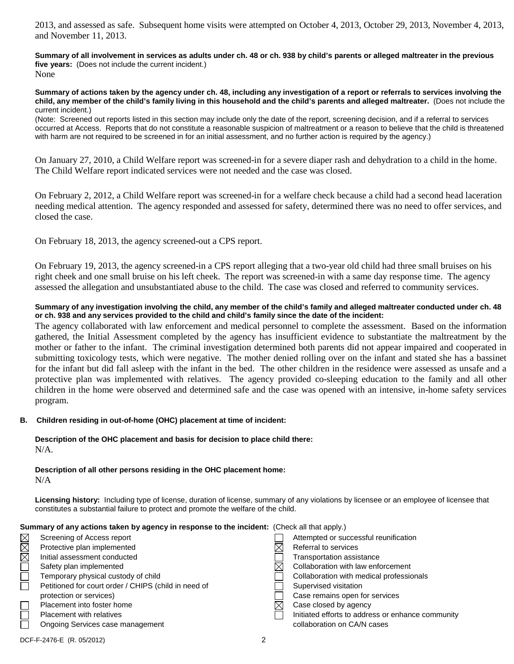2013, and assessed as safe. Subsequent home visits were attempted on October 4, 2013, October 29, 2013, November 4, 2013, and November 11, 2013.

**Summary of all involvement in services as adults under ch. 48 or ch. 938 by child's parents or alleged maltreater in the previous five years:** (Does not include the current incident.) None

**Summary of actions taken by the agency under ch. 48, including any investigation of a report or referrals to services involving the child, any member of the child's family living in this household and the child's parents and alleged maltreater.** (Does not include the current incident.)

(Note: Screened out reports listed in this section may include only the date of the report, screening decision, and if a referral to services occurred at Access. Reports that do not constitute a reasonable suspicion of maltreatment or a reason to believe that the child is threatened with harm are not required to be screened in for an initial assessment, and no further action is required by the agency.)

On January 27, 2010, a Child Welfare report was screened-in for a severe diaper rash and dehydration to a child in the home. The Child Welfare report indicated services were not needed and the case was closed.

On February 2, 2012, a Child Welfare report was screened-in for a welfare check because a child had a second head laceration needing medical attention. The agency responded and assessed for safety, determined there was no need to offer services, and closed the case.

On February 18, 2013, the agency screened-out a CPS report.

On February 19, 2013, the agency screened-in a CPS report alleging that a two-year old child had three small bruises on his right cheek and one small bruise on his left cheek. The report was screened-in with a same day response time. The agency assessed the allegation and unsubstantiated abuse to the child. The case was closed and referred to community services.

## **Summary of any investigation involving the child, any member of the child's family and alleged maltreater conducted under ch. 48 or ch. 938 and any services provided to the child and child's family since the date of the incident:**

The agency collaborated with law enforcement and medical personnel to complete the assessment. Based on the information gathered, the Initial Assessment completed by the agency has insufficient evidence to substantiate the maltreatment by the mother or father to the infant. The criminal investigation determined both parents did not appear impaired and cooperated in submitting toxicology tests, which were negative. The mother denied rolling over on the infant and stated she has a bassinet for the infant but did fall asleep with the infant in the bed. The other children in the residence were assessed as unsafe and a protective plan was implemented with relatives. The agency provided co-sleeping education to the family and all other children in the home were observed and determined safe and the case was opened with an intensive, in-home safety services program.

## **B. Children residing in out-of-home (OHC) placement at time of incident:**

**Description of the OHC placement and basis for decision to place child there:** N/A.

**Description of all other persons residing in the OHC placement home:**

N/A

**Licensing history:** Including type of license, duration of license, summary of any violations by licensee or an employee of licensee that constitutes a substantial failure to protect and promote the welfare of the child.

## **Summary of any actions taken by agency in response to the incident:** (Check all that apply.)

| $\boxtimes$ | Screening of Access report                           | Attempted or successful reunification             |
|-------------|------------------------------------------------------|---------------------------------------------------|
| $\boxtimes$ | Protective plan implemented                          | Referral to services                              |
| $\boxtimes$ | Initial assessment conducted                         | Transportation assistance                         |
|             | Safety plan implemented                              | Collaboration with law enforcement                |
| $\Box$      | Temporary physical custody of child                  | Collaboration with medical professionals          |
|             | Petitioned for court order / CHIPS (child in need of | Supervised visitation                             |
|             | protection or services)                              | Case remains open for services                    |
|             | Placement into foster home                           | Case closed by agency                             |
|             | <b>Placement with relatives</b>                      | Initiated efforts to address or enhance community |
|             | Ongoing Services case management                     | collaboration on CA/N cases                       |